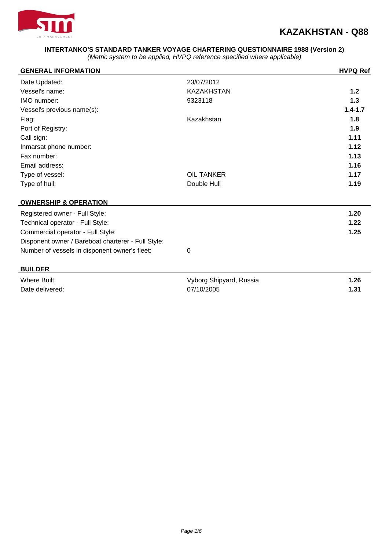

### **INTERTANKO'S STANDARD TANKER VOYAGE CHARTERING QUESTIONNAIRE 1988 (Version 2)**

(Metric system to be applied, HVPQ reference specified where applicable)

| <b>GENERAL INFORMATION</b>                         |                         | <b>HVPQ Ref</b> |
|----------------------------------------------------|-------------------------|-----------------|
| Date Updated:                                      | 23/07/2012              |                 |
| Vessel's name:                                     | <b>KAZAKHSTAN</b>       | $1.2$           |
| IMO number:                                        | 9323118                 | 1.3             |
| Vessel's previous name(s):                         |                         | $1.4 - 1.7$     |
| Flag:                                              | Kazakhstan              | 1.8             |
| Port of Registry:                                  |                         | 1.9             |
| Call sign:                                         |                         | 1.11            |
| Inmarsat phone number:                             |                         | 1.12            |
| Fax number:                                        |                         | 1.13            |
| Email address:                                     |                         | 1.16            |
| Type of vessel:                                    | <b>OIL TANKER</b>       | 1.17            |
| Type of hull:                                      | Double Hull             | 1.19            |
| <b>OWNERSHIP &amp; OPERATION</b>                   |                         |                 |
| Registered owner - Full Style:                     |                         | 1.20            |
| Technical operator - Full Style:                   |                         | 1.22            |
| Commercial operator - Full Style:                  |                         | 1.25            |
| Disponent owner / Bareboat charterer - Full Style: |                         |                 |
| Number of vessels in disponent owner's fleet:      | 0                       |                 |
| <b>BUILDER</b>                                     |                         |                 |
| <b>Where Built:</b>                                | Vyborg Shipyard, Russia | 1.26            |
| Date delivered:                                    | 07/10/2005              | 1.31            |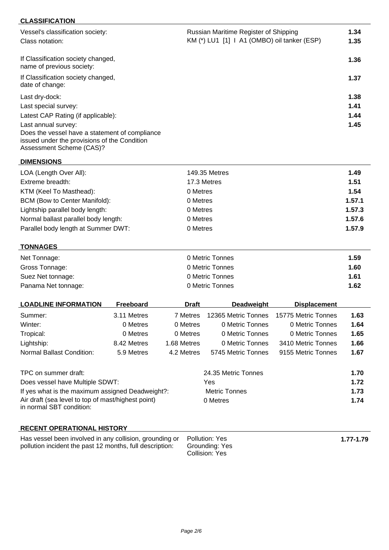## **CLASSIFICATION**

| Vessel's classification society:<br>Class notation:                                                                        | Russian Maritime Register of Shipping<br>KM (*) LU1 [1] I A1 (OMBO) oil tanker (ESP) | 1.34<br>1.35 |
|----------------------------------------------------------------------------------------------------------------------------|--------------------------------------------------------------------------------------|--------------|
| If Classification society changed,<br>name of previous society:                                                            |                                                                                      | 1.36         |
| If Classification society changed,<br>date of change:                                                                      |                                                                                      | 1.37         |
| Last dry-dock:                                                                                                             |                                                                                      | 1.38         |
| Last special survey:                                                                                                       |                                                                                      | 1.41         |
| Latest CAP Rating (if applicable):                                                                                         |                                                                                      | 1.44         |
| Last annual survey:                                                                                                        |                                                                                      | 1.45         |
| Does the vessel have a statement of compliance<br>issued under the provisions of the Condition<br>Assessment Scheme (CAS)? |                                                                                      |              |

**DIMENSIONS**

| LOA (Length Over All):               | 149.35 Metres | 1.49   |
|--------------------------------------|---------------|--------|
| Extreme breadth:                     | 17.3 Metres   | 1.51   |
| KTM (Keel To Masthead):              | 0 Metres      | 1.54   |
| BCM (Bow to Center Manifold):        | 0 Metres      | 1.57.1 |
| Lightship parallel body length:      | 0 Metres      | 1.57.3 |
| Normal ballast parallel body length: | 0 Metres      | 1.57.6 |
| Parallel body length at Summer DWT:  | 0 Metres      | 1.57.9 |

# **TONNAGES**

| Net Tonnage:        | 0 Metric Tonnes | 1.59 |
|---------------------|-----------------|------|
| Gross Tonnage:      | 0 Metric Tonnes | 1.60 |
| Suez Net tonnage:   | 0 Metric Tonnes | 1.61 |
| Panama Net tonnage: | 0 Metric Tonnes | 1.62 |

| <b>LOADLINE INFORMATION</b> | Freeboard   | <b>Draft</b> | <b>Deadweight</b>   | <b>Displacement</b> |      |
|-----------------------------|-------------|--------------|---------------------|---------------------|------|
| Summer:                     | 3.11 Metres | 7 Metres     | 12365 Metric Tonnes | 15775 Metric Tonnes | 1.63 |
| Winter:                     | 0 Metres    | 0 Metres     | 0 Metric Tonnes     | 0 Metric Tonnes     | 1.64 |
| Tropical:                   | 0 Metres    | 0 Metres     | 0 Metric Tonnes     | 0 Metric Tonnes     | 1.65 |
| Lightship:                  | 8.42 Metres | 1.68 Metres  | 0 Metric Tonnes     | 3410 Metric Tonnes  | 1.66 |
| Normal Ballast Condition:   | 5.9 Metres  | 4.2 Metres   | 5745 Metric Tonnes  | 9155 Metric Tonnes  | 1.67 |
|                             |             |              |                     |                     |      |

| TPC on summer draft:                               | 24.35 Metric Tonnes | 1.70 |
|----------------------------------------------------|---------------------|------|
| Does vessel have Multiple SDWT:                    | Yes                 | 1.72 |
| If yes what is the maximum assigned Deadweight?:   | Metric Tonnes       | 1.73 |
| Air draft (sea level to top of mast/highest point) | 0 Metres            | 1.74 |
| in normal SBT condition:                           |                     |      |

### **RECENT OPERATIONAL HISTORY**

| Has vessel been involved in any collision, grounding or Pollution: Yes  |                | 1.77-1.79 |
|-------------------------------------------------------------------------|----------------|-----------|
| pollution incident the past 12 months, full description: Grounding: Yes |                |           |
|                                                                         | Collision: Yes |           |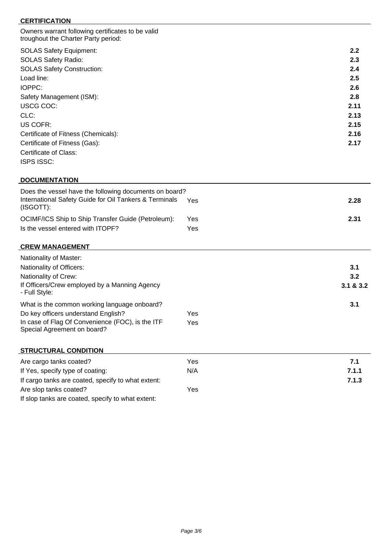### **CERTIFICATION**

| Owners warrant following certificates to be valid<br>troughout the Charter Party period: |      |
|------------------------------------------------------------------------------------------|------|
| <b>SOLAS Safety Equipment:</b>                                                           | 2.2  |
| <b>SOLAS Safety Radio:</b>                                                               | 2.3  |
| <b>SOLAS Safety Construction:</b>                                                        | 2.4  |
| Load line:                                                                               | 2.5  |
| IOPPC:                                                                                   | 2.6  |
| Safety Management (ISM):                                                                 | 2.8  |
| USCG COC:                                                                                | 2.11 |
| CLC:                                                                                     | 2.13 |
| US COFR:                                                                                 | 2.15 |
| Certificate of Fitness (Chemicals):                                                      | 2.16 |
| Certificate of Fitness (Gas):                                                            | 2.17 |
| Certificate of Class:                                                                    |      |
| <b>ISPS ISSC:</b>                                                                        |      |

### **DOCUMENTATION**

| Does the vessel have the following documents on board?<br>International Safety Guide for Oil Tankers & Terminals<br>(ISGOTT): | Yes        | 2.28 |
|-------------------------------------------------------------------------------------------------------------------------------|------------|------|
| OCIMF/ICS Ship to Ship Transfer Guide (Petroleum):<br>Is the vessel entered with ITOPF?                                       | Yes<br>Yes | 2.31 |

# **CREW MANAGEMENT**

| Nationality of Master:                                                          |     |             |
|---------------------------------------------------------------------------------|-----|-------------|
| Nationality of Officers:                                                        |     | 3.1         |
| Nationality of Crew:                                                            |     | 3.2         |
| If Officers/Crew employed by a Manning Agency<br>- Full Style:                  |     | 3.1 & 8.3.2 |
| What is the common working language onboard?                                    |     | 3.1         |
| Do key officers understand English?                                             | Yes |             |
| In case of Flag Of Convenience (FOC), is the ITF<br>Special Agreement on board? | Yes |             |

#### **STRUCTURAL CONDITION**

| Are cargo tanks coated?                            | Yes | 7.1   |
|----------------------------------------------------|-----|-------|
| If Yes, specify type of coating:                   | N/A | 7.1.1 |
| If cargo tanks are coated, specify to what extent: |     | 7.1.3 |
| Are slop tanks coated?                             | Yes |       |
| If slop tanks are coated, specify to what extent:  |     |       |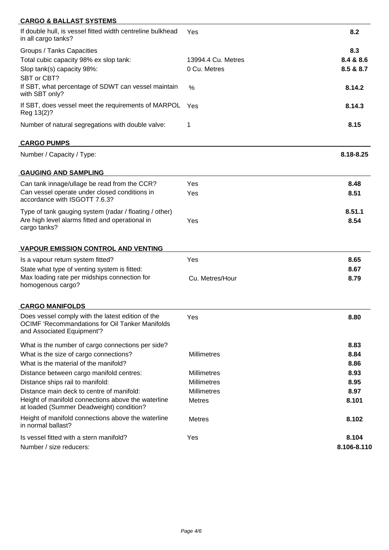| <b>CARGO &amp; BALLAST SYSTEMS</b>                                                                                                        |                    |             |
|-------------------------------------------------------------------------------------------------------------------------------------------|--------------------|-------------|
| If double hull, is vessel fitted width centreline bulkhead<br>in all cargo tanks?                                                         | Yes                | 8.2         |
| Groups / Tanks Capacities                                                                                                                 |                    | 8.3         |
| Total cubic capacity 98% ex slop tank:                                                                                                    | 13994.4 Cu. Metres | 8.4 & 8.6   |
| Slop tank(s) capacity 98%:                                                                                                                | 0 Cu. Metres       | 8.5 & 8.7   |
| SBT or CBT?<br>If SBT, what percentage of SDWT can vessel maintain<br>with SBT only?                                                      | %                  | 8.14.2      |
| If SBT, does vessel meet the requirements of MARPOL<br>Reg 13(2)?                                                                         | Yes                | 8.14.3      |
| Number of natural segregations with double valve:                                                                                         | 1                  | 8.15        |
| <b>CARGO PUMPS</b>                                                                                                                        |                    |             |
| Number / Capacity / Type:                                                                                                                 |                    | 8.18-8.25   |
| <b>GAUGING AND SAMPLING</b>                                                                                                               |                    |             |
| Can tank innage/ullage be read from the CCR?                                                                                              | Yes                | 8.48        |
| Can vessel operate under closed conditions in<br>accordance with ISGOTT 7.6.3?                                                            | Yes                | 8.51        |
| Type of tank gauging system (radar / floating / other)                                                                                    |                    | 8.51.1      |
| Are high level alarms fitted and operational in<br>cargo tanks?                                                                           | Yes                | 8.54        |
| <b>VAPOUR EMISSION CONTROL AND VENTING</b>                                                                                                |                    |             |
| Is a vapour return system fitted?                                                                                                         | Yes                | 8.65        |
| State what type of venting system is fitted:                                                                                              |                    | 8.67        |
| Max loading rate per midships connection for<br>homogenous cargo?                                                                         | Cu. Metres/Hour    | 8.79        |
| <b>CARGO MANIFOLDS</b>                                                                                                                    |                    |             |
| Does vessel comply with the latest edition of the<br><b>OCIMF 'Recommandations for Oil Tanker Manifolds</b><br>and Associated Equipment'? | Yes                | 8.80        |
| What is the number of cargo connections per side?                                                                                         |                    | 8.83        |
| What is the size of cargo connections?                                                                                                    | Millimetres        | 8.84        |
| What is the material of the manifold?                                                                                                     |                    | 8.86        |
| Distance between cargo manifold centres:                                                                                                  | <b>Millimetres</b> | 8.93        |
| Distance ships rail to manifold:                                                                                                          | <b>Millimetres</b> | 8.95        |
| Distance main deck to centre of manifold:<br>Height of manifold connections above the waterline                                           | <b>Millimetres</b> | 8.97        |
| at loaded (Summer Deadweight) condition?                                                                                                  | <b>Metres</b>      | 8.101       |
| Height of manifold connections above the waterline<br>in normal ballast?                                                                  | <b>Metres</b>      | 8.102       |
| Is vessel fitted with a stern manifold?                                                                                                   | Yes                | 8.104       |
| Number / size reducers:                                                                                                                   |                    | 8.106-8.110 |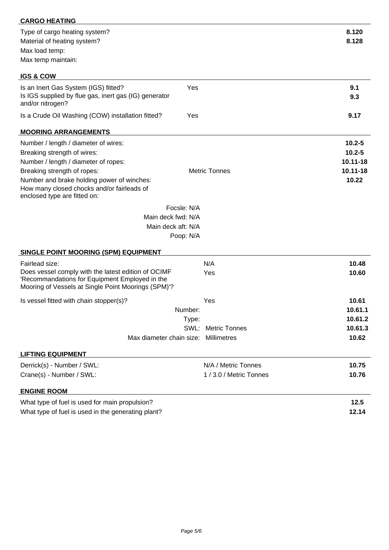| <b>CARGO HEATING</b>                                                                                                                                         |                              |                |
|--------------------------------------------------------------------------------------------------------------------------------------------------------------|------------------------------|----------------|
| Type of cargo heating system?<br>Material of heating system?                                                                                                 |                              | 8.120<br>8.128 |
| Max load temp:<br>Max temp maintain:                                                                                                                         |                              |                |
|                                                                                                                                                              |                              |                |
| <b>IGS &amp; COW</b>                                                                                                                                         |                              |                |
| Is an Inert Gas System (IGS) fitted?<br>Is IGS supplied by flue gas, inert gas (IG) generator<br>and/or nitrogen?                                            | Yes                          | 9.1<br>9.3     |
| Is a Crude Oil Washing (COW) installation fitted?                                                                                                            | Yes                          | 9.17           |
| <b>MOORING ARRANGEMENTS</b>                                                                                                                                  |                              |                |
| Number / length / diameter of wires:                                                                                                                         |                              | $10.2 - 5$     |
| Breaking strength of wires:                                                                                                                                  |                              | $10.2 - 5$     |
| Number / length / diameter of ropes:                                                                                                                         |                              | 10.11-18       |
| Breaking strength of ropes:                                                                                                                                  | <b>Metric Tonnes</b>         | 10.11-18       |
| Number and brake holding power of winches:<br>How many closed chocks and/or fairleads of<br>enclosed type are fitted on:                                     |                              | 10.22          |
|                                                                                                                                                              | Focsle: N/A                  |                |
| Main deck fwd: N/A                                                                                                                                           |                              |                |
| Main deck aft: N/A                                                                                                                                           |                              |                |
|                                                                                                                                                              | Poop: N/A                    |                |
| <b>SINGLE POINT MOORING (SPM) EQUIPMENT</b>                                                                                                                  |                              |                |
| Fairlead size:                                                                                                                                               | N/A                          | 10.48          |
| Does vessel comply with the latest edition of OCIMF<br>'Recommandations for Equipment Employed in the<br>Mooring of Vessels at Single Point Moorings (SPM)'? | Yes                          | 10.60          |
| Is vessel fitted with chain stopper(s)?                                                                                                                      | Yes                          | 10.61          |
|                                                                                                                                                              | Number:                      | 10.61.1        |
|                                                                                                                                                              | Type:                        | 10.61.2        |
|                                                                                                                                                              | SWL:<br><b>Metric Tonnes</b> | 10.61.3        |
| Max diameter chain size:                                                                                                                                     | Millimetres                  | 10.62          |
| <b>LIFTING EQUIPMENT</b>                                                                                                                                     |                              |                |
| Derrick(s) - Number / SWL:                                                                                                                                   | N/A / Metric Tonnes          | 10.75          |
| Crane(s) - Number / SWL:                                                                                                                                     | 1 / 3.0 / Metric Tonnes      | 10.76          |
| <b>ENGINE ROOM</b>                                                                                                                                           |                              |                |
| What type of fuel is used for main propulsion?                                                                                                               |                              | 12.5           |
| What type of fuel is used in the generating plant?                                                                                                           |                              | 12.14          |